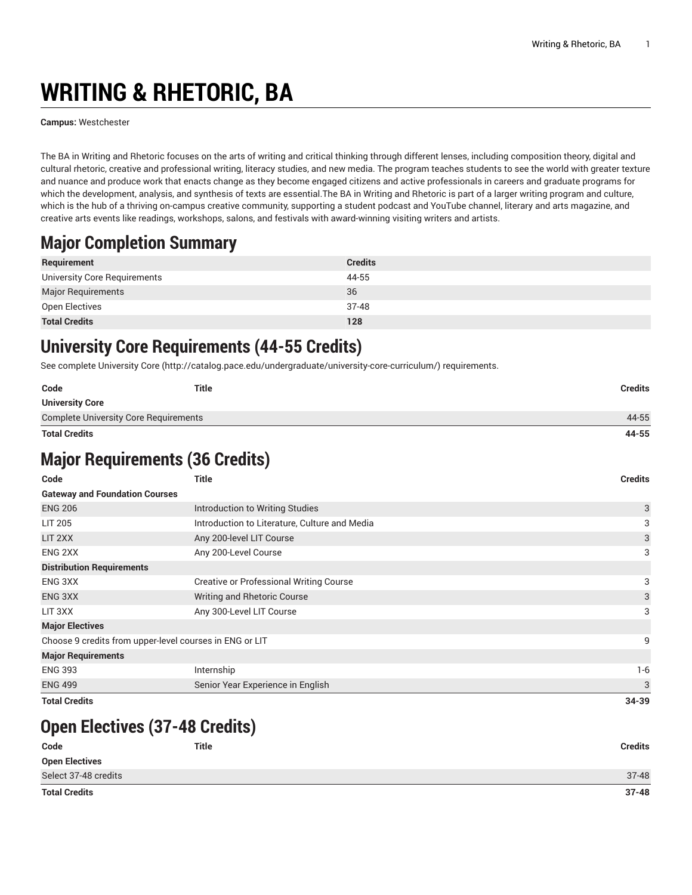# **WRITING & RHETORIC, BA**

**Campus:** Westchester

The BA in Writing and Rhetoric focuses on the arts of writing and critical thinking through different lenses, including composition theory, digital and cultural rhetoric, creative and professional writing, literacy studies, and new media. The program teaches students to see the world with greater texture and nuance and produce work that enacts change as they become engaged citizens and active professionals in careers and graduate programs for which the development, analysis, and synthesis of texts are essential. The BA in Writing and Rhetoric is part of a larger writing program and culture, which is the hub of a thriving on-campus creative community, supporting a student podcast and YouTube channel, literary and arts magazine, and creative arts events like readings, workshops, salons, and festivals with award-winning visiting writers and artists.

# **Major Completion Summary**

| Requirement                  | <b>Credits</b> |
|------------------------------|----------------|
| University Core Requirements | 44-55          |
| Major Requirements           | 36             |
| Open Electives               | $37 - 48$      |
| <b>Total Credits</b>         | 128            |

### **University Core Requirements (44-55 Credits)**

See complete [University](http://catalog.pace.edu/undergraduate/university-core-curriculum/) Core (<http://catalog.pace.edu/undergraduate/university-core-curriculum/>) requirements.

| Code                                  | Title | Credits |
|---------------------------------------|-------|---------|
| <b>University Core</b>                |       |         |
| Complete University Core Requirements |       | 44-55   |
| <b>Total Credits</b>                  |       | 44-55   |

# **Major Requirements (36 Credits)**

| Code                                                    | <b>Title</b>                                   | <b>Credits</b> |
|---------------------------------------------------------|------------------------------------------------|----------------|
| <b>Gateway and Foundation Courses</b>                   |                                                |                |
| <b>ENG 206</b>                                          | Introduction to Writing Studies                | 3              |
| <b>LIT 205</b>                                          | Introduction to Literature, Culture and Media  | 3              |
| LIT 2XX                                                 | Any 200-level LIT Course                       | 3              |
| ENG 2XX                                                 | Any 200-Level Course                           | 3              |
| <b>Distribution Requirements</b>                        |                                                |                |
| ENG 3XX                                                 | <b>Creative or Professional Writing Course</b> | 3              |
| ENG 3XX                                                 | Writing and Rhetoric Course                    | 3              |
| LIT 3XX                                                 | Any 300-Level LIT Course                       | 3              |
| <b>Major Electives</b>                                  |                                                |                |
| Choose 9 credits from upper-level courses in ENG or LIT |                                                | 9              |
| <b>Major Requirements</b>                               |                                                |                |
| <b>ENG 393</b>                                          | Internship                                     | $1-6$          |
| <b>ENG 499</b>                                          | Senior Year Experience in English              | 3              |
| <b>Total Credits</b>                                    |                                                | 34-39          |

# **Open Electives (37-48 Credits)**

| Code                  | <b>Title</b> | <b>Credits</b> |
|-----------------------|--------------|----------------|
| <b>Open Electives</b> |              |                |
| Select 37-48 credits  |              | $37 - 48$      |
| <b>Total Credits</b>  |              | $37 - 48$      |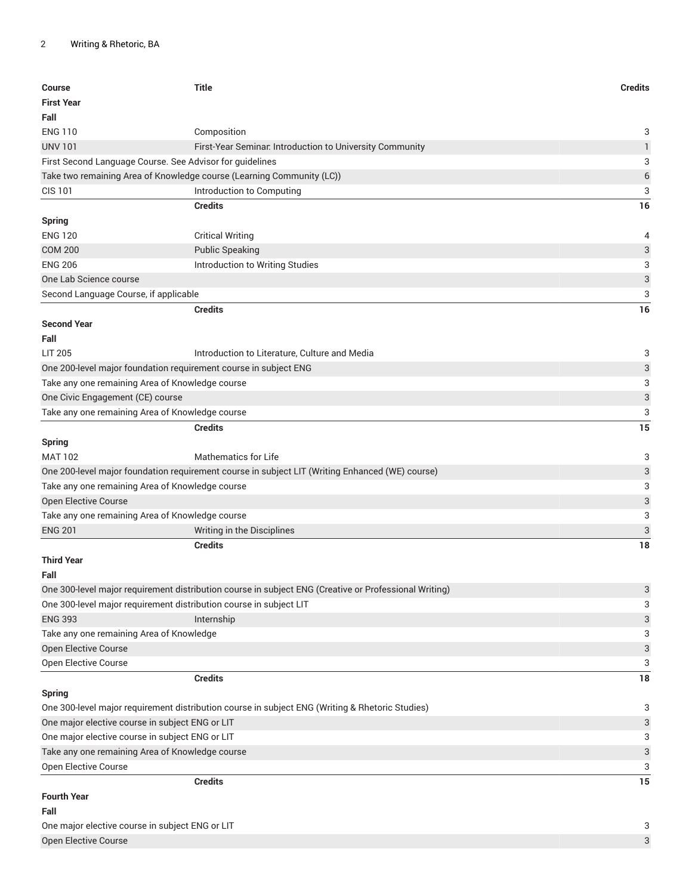| Course                                          | <b>Title</b>                                                                                          | <b>Credits</b>            |
|-------------------------------------------------|-------------------------------------------------------------------------------------------------------|---------------------------|
| <b>First Year</b>                               |                                                                                                       |                           |
| Fall                                            |                                                                                                       |                           |
| <b>ENG 110</b>                                  | Composition                                                                                           | 3                         |
| <b>UNV 101</b>                                  | First-Year Seminar. Introduction to University Community                                              | $\mathbf{1}$              |
|                                                 | First Second Language Course. See Advisor for guidelines                                              | 3                         |
|                                                 | Take two remaining Area of Knowledge course (Learning Community (LC))                                 | $\,$ 6 $\,$               |
| <b>CIS 101</b>                                  | Introduction to Computing                                                                             | 3                         |
|                                                 | <b>Credits</b>                                                                                        | 16                        |
| <b>Spring</b>                                   |                                                                                                       |                           |
| <b>ENG 120</b>                                  | <b>Critical Writing</b>                                                                               | 4                         |
| <b>COM 200</b>                                  | <b>Public Speaking</b>                                                                                | 3                         |
| <b>ENG 206</b>                                  | Introduction to Writing Studies                                                                       | 3                         |
| One Lab Science course                          |                                                                                                       | 3                         |
| Second Language Course, if applicable           |                                                                                                       | 3                         |
|                                                 | <b>Credits</b>                                                                                        | 16                        |
| <b>Second Year</b>                              |                                                                                                       |                           |
| Fall                                            |                                                                                                       |                           |
| <b>LIT 205</b>                                  | Introduction to Literature, Culture and Media                                                         | 3                         |
|                                                 | One 200-level major foundation requirement course in subject ENG                                      | 3                         |
|                                                 | Take any one remaining Area of Knowledge course                                                       | 3                         |
| One Civic Engagement (CE) course                |                                                                                                       | 3                         |
|                                                 | Take any one remaining Area of Knowledge course                                                       | 3                         |
|                                                 |                                                                                                       |                           |
|                                                 | <b>Credits</b>                                                                                        | 15                        |
| <b>Spring</b>                                   |                                                                                                       |                           |
| <b>MAT 102</b>                                  | <b>Mathematics for Life</b>                                                                           | 3                         |
|                                                 | One 200-level major foundation requirement course in subject LIT (Writing Enhanced (WE) course)       | 3                         |
|                                                 | Take any one remaining Area of Knowledge course                                                       | 3                         |
| Open Elective Course                            |                                                                                                       | 3                         |
|                                                 | Take any one remaining Area of Knowledge course                                                       | 3                         |
| <b>ENG 201</b>                                  | Writing in the Disciplines                                                                            | 3                         |
|                                                 | <b>Credits</b>                                                                                        | 18                        |
| <b>Third Year</b>                               |                                                                                                       |                           |
| Fall                                            |                                                                                                       |                           |
|                                                 | One 300-level major requirement distribution course in subject ENG (Creative or Professional Writing) | 3                         |
|                                                 | One 300-level major requirement distribution course in subject LIT                                    | 3                         |
| <b>ENG 393</b>                                  | Internship                                                                                            | $\ensuremath{\mathsf{3}}$ |
| Take any one remaining Area of Knowledge        |                                                                                                       | 3                         |
| Open Elective Course                            |                                                                                                       | 3                         |
| Open Elective Course                            |                                                                                                       | 3                         |
|                                                 | <b>Credits</b>                                                                                        | 18                        |
| <b>Spring</b>                                   |                                                                                                       |                           |
|                                                 | One 300-level major requirement distribution course in subject ENG (Writing & Rhetoric Studies)       | 3                         |
| One major elective course in subject ENG or LIT |                                                                                                       | 3                         |
| One major elective course in subject ENG or LIT |                                                                                                       | 3                         |
|                                                 | Take any one remaining Area of Knowledge course                                                       | 3                         |
| Open Elective Course                            |                                                                                                       | 3                         |
|                                                 | <b>Credits</b>                                                                                        | 15                        |
| <b>Fourth Year</b>                              |                                                                                                       |                           |
| Fall                                            |                                                                                                       |                           |
| One major elective course in subject ENG or LIT |                                                                                                       | 3                         |
| <b>Open Elective Course</b>                     |                                                                                                       | 3                         |